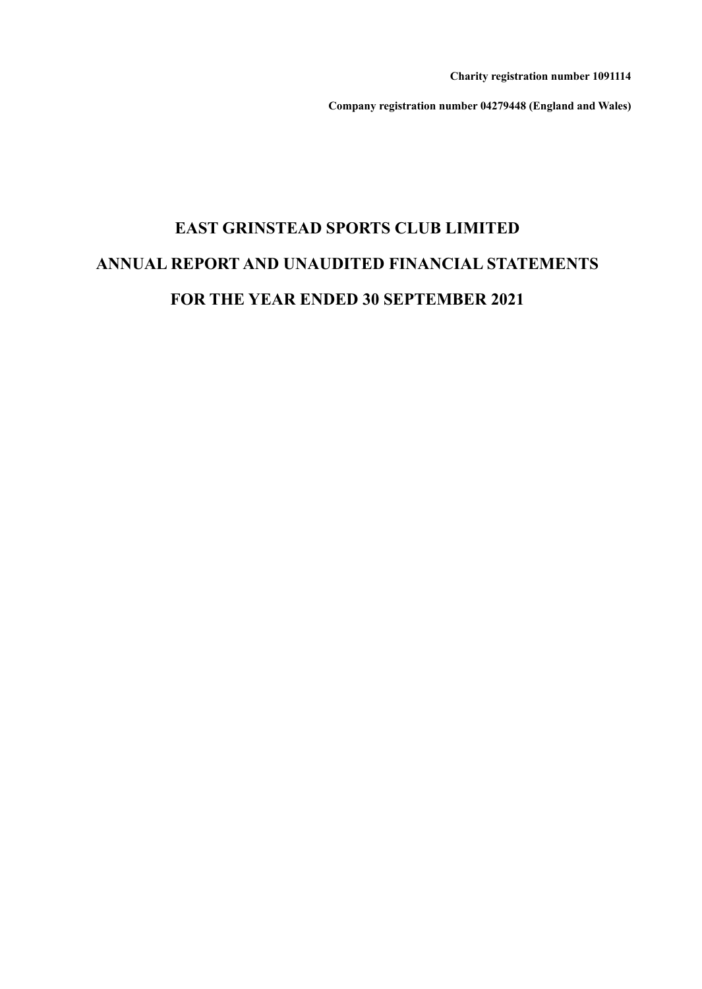**Charity registration number 1091114**

**Company registration number 04279448 (England and Wales)**

# **EAST GRINSTEAD SPORTS CLUB LIMITED ANNUAL REPORT AND UNAUDITED FINANCIAL STATEMENTS FOR THE YEAR ENDED 30 SEPTEMBER 2021**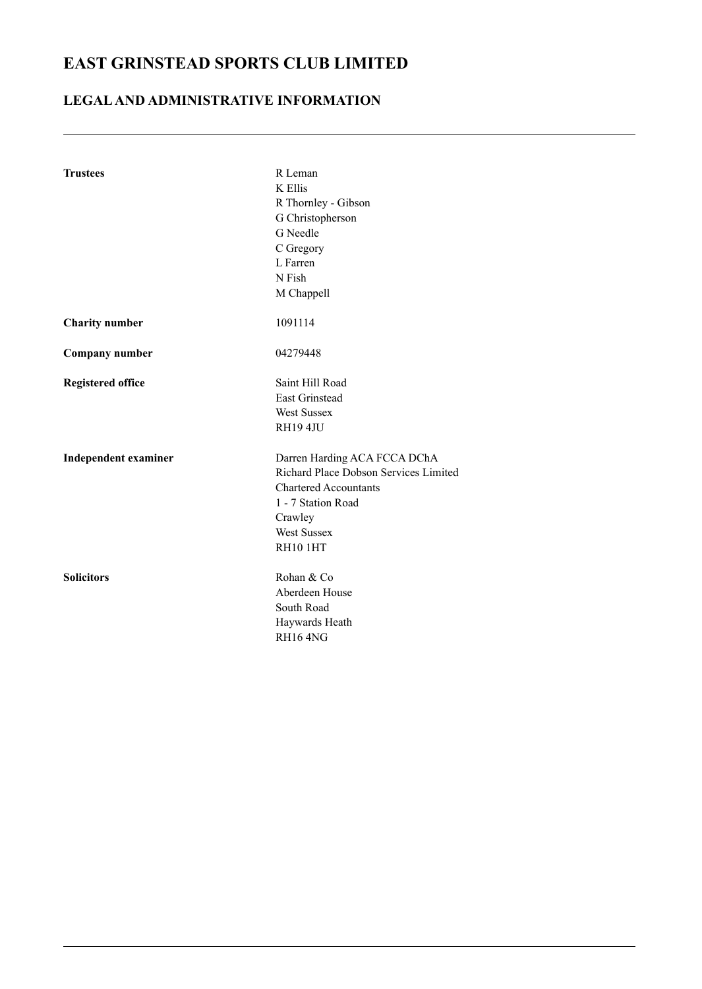### **LEGALAND ADMINISTRATIVE INFORMATION**

| <b>Trustees</b>             | R Leman<br>K Ellis<br>R Thornley - Gibson<br>G Christopherson<br>G Needle<br>C Gregory<br>L Farren                                                                       |
|-----------------------------|--------------------------------------------------------------------------------------------------------------------------------------------------------------------------|
|                             | N Fish<br>M Chappell                                                                                                                                                     |
| <b>Charity number</b>       | 1091114                                                                                                                                                                  |
| Company number              | 04279448                                                                                                                                                                 |
| <b>Registered office</b>    | Saint Hill Road<br>East Grinstead<br><b>West Sussex</b><br>RH19 4JU                                                                                                      |
| <b>Independent examiner</b> | Darren Harding ACA FCCA DChA<br>Richard Place Dobson Services Limited<br><b>Chartered Accountants</b><br>1 - 7 Station Road<br>Crawley<br><b>West Sussex</b><br>RH10 1HT |
| <b>Solicitors</b>           | Rohan & Co<br>Aberdeen House<br>South Road<br>Haywards Heath<br>RH164NG                                                                                                  |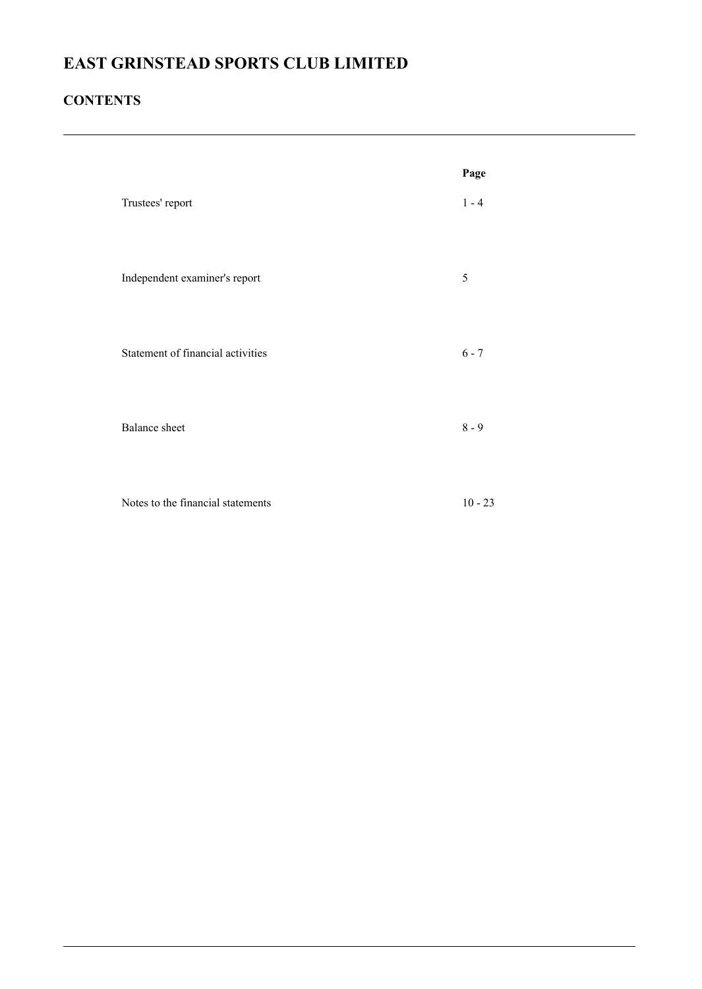### **CONTENTS**

|                                   | Page      |
|-----------------------------------|-----------|
| Trustees' report                  | $1 - 4$   |
| Independent examiner's report     | 5         |
| Statement of financial activities | $6 - 7$   |
| <b>Balance</b> sheet              | $8 - 9$   |
| Notes to the financial statements | $10 - 23$ |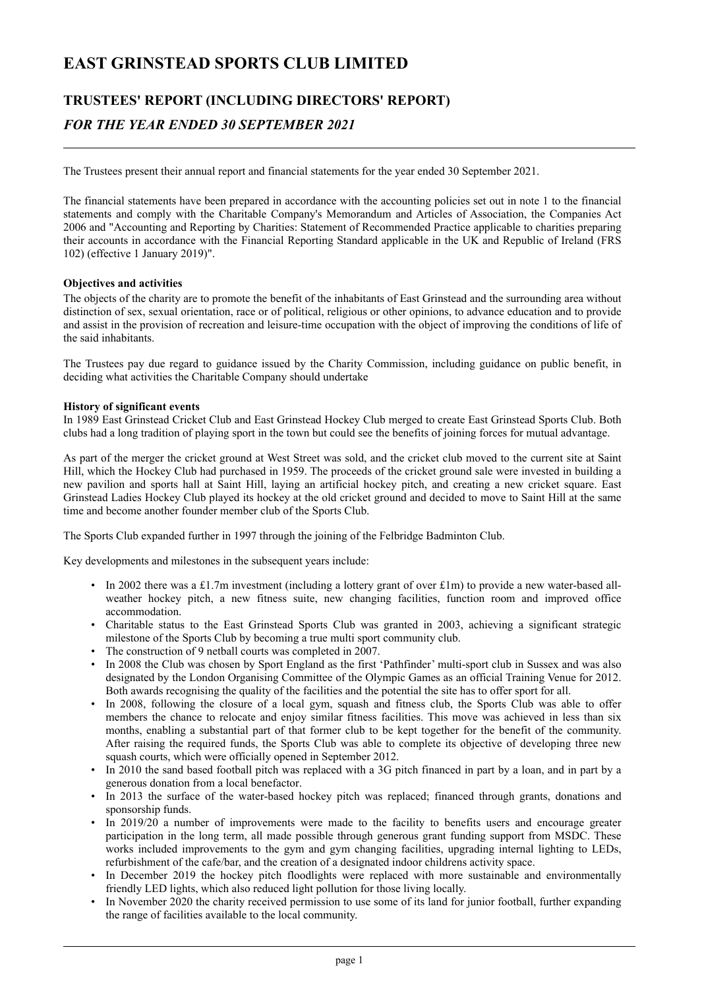## **TRUSTEES' REPORT (INCLUDING DIRECTORS' REPORT)** *FOR THE YEAR ENDED 30 SEPTEMBER 2021*

The Trustees present their annual report and financial statements for the year ended 30 September 2021.

The financial statements have been prepared in accordance with the accounting policies set out in note 1 to the financial statements and comply with the Charitable Company's Memorandum and Articles of Association, the Companies Act 2006 and "Accounting and Reporting by Charities: Statement of Recommended Practice applicable to charities preparing their accounts in accordance with the Financial Reporting Standard applicable in the UK and Republic of Ireland (FRS 102) (effective 1 January 2019)".

#### **Objectives and activities**

The objects of the charity are to promote the benefit of the inhabitants of East Grinstead and the surrounding area without distinction of sex, sexual orientation, race or of political, religious or other opinions, to advance education and to provide and assist in the provision of recreation and leisure-time occupation with the object of improving the conditions of life of the said inhabitants.

The Trustees pay due regard to guidance issued by the Charity Commission, including guidance on public benefit, in deciding what activities the Charitable Company should undertake

#### **History of significant events**

In 1989 East Grinstead Cricket Club and East Grinstead Hockey Club merged to create East Grinstead Sports Club. Both clubs had a long tradition of playing sport in the town but could see the benefits of joining forces for mutual advantage.

As part of the merger the cricket ground at West Street was sold, and the cricket club moved to the current site at Saint Hill, which the Hockey Club had purchased in 1959. The proceeds of the cricket ground sale were invested in building a new pavilion and sports hall at Saint Hill, laying an artificial hockey pitch, and creating a new cricket square. East Grinstead Ladies Hockey Club played its hockey at the old cricket ground and decided to move to Saint Hill at the same time and become another founder member club of the Sports Club.

The Sports Club expanded further in 1997 through the joining of the Felbridge Badminton Club.

Key developments and milestones in the subsequent years include:

- In 2002 there was a £1.7m investment (including a lottery grant of over  $\text{\pounds}1m$ ) to provide a new water-based allweather hockey pitch, a new fitness suite, new changing facilities, function room and improved office accommodation.
- Charitable status to the East Grinstead Sports Club was granted in 2003, achieving a significant strategic milestone of the Sports Club by becoming a true multi sport community club.
- The construction of 9 netball courts was completed in 2007.
- In 2008 the Club was chosen by Sport England as the first 'Pathfinder' multi-sport club in Sussex and was also designated by the London Organising Committee of the Olympic Games as an official Training Venue for 2012. Both awards recognising the quality of the facilities and the potential the site has to offer sport for all.
- In 2008, following the closure of a local gym, squash and fitness club, the Sports Club was able to offer members the chance to relocate and enjoy similar fitness facilities. This move was achieved in less than six months, enabling a substantial part of that former club to be kept together for the benefit of the community. After raising the required funds, the Sports Club was able to complete its objective of developing three new squash courts, which were officially opened in September 2012.
- In 2010 the sand based football pitch was replaced with a 3G pitch financed in part by a loan, and in part by a generous donation from a local benefactor.
- In 2013 the surface of the water-based hockey pitch was replaced; financed through grants, donations and sponsorship funds.
- In 2019/20 a number of improvements were made to the facility to benefits users and encourage greater participation in the long term, all made possible through generous grant funding support from MSDC. These works included improvements to the gym and gym changing facilities, upgrading internal lighting to LEDs, refurbishment of the cafe/bar, and the creation of a designated indoor childrens activity space.
- In December 2019 the hockey pitch floodlights were replaced with more sustainable and environmentally friendly LED lights, which also reduced light pollution for those living locally.
- In November 2020 the charity received permission to use some of its land for junior football, further expanding the range of facilities available to the local community.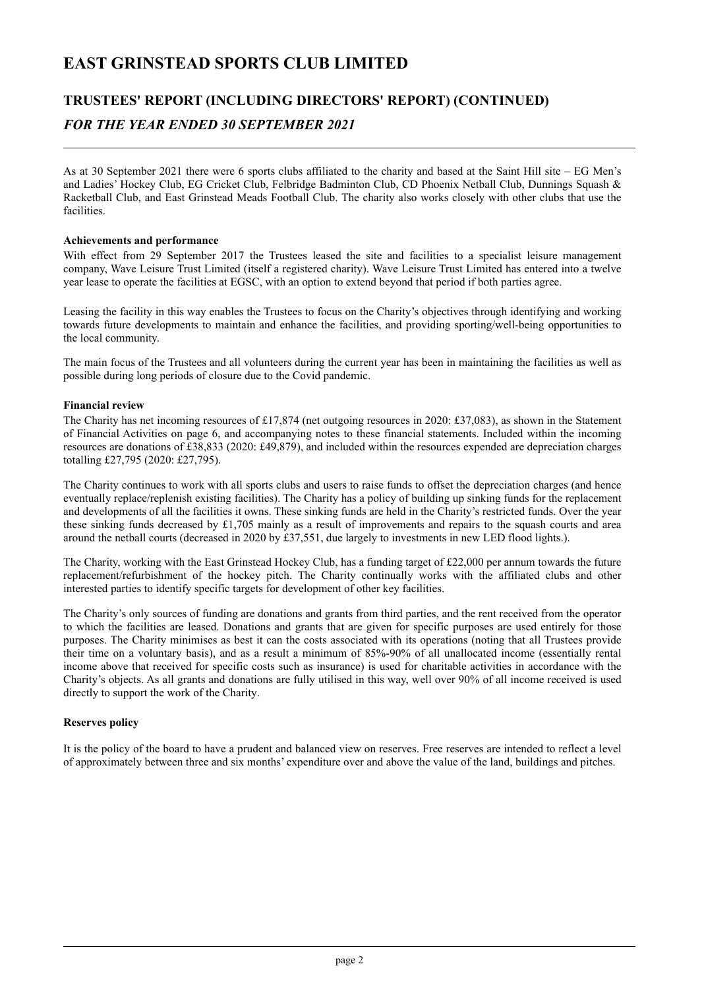### **TRUSTEES' REPORT (INCLUDING DIRECTORS' REPORT) (CONTINUED)** *FOR THE YEAR ENDED 30 SEPTEMBER 2021*

As at 30 September 2021 there were 6 sports clubs affiliated to the charity and based at the Saint Hill site – EG Men's and Ladies' Hockey Club, EG Cricket Club, Felbridge Badminton Club, CD Phoenix Netball Club, Dunnings Squash & Racketball Club, and East Grinstead Meads Football Club. The charity also works closely with other clubs that use the facilities.

#### **Achievements and performance**

With effect from 29 September 2017 the Trustees leased the site and facilities to a specialist leisure management company, Wave Leisure Trust Limited (itself a registered charity). Wave Leisure Trust Limited has entered into a twelve year lease to operate the facilities at EGSC, with an option to extend beyond that period if both parties agree.

Leasing the facility in this way enables the Trustees to focus on the Charity's objectives through identifying and working towards future developments to maintain and enhance the facilities, and providing sporting/well-being opportunities to the local community.

The main focus of the Trustees and all volunteers during the current year has been in maintaining the facilities as well as possible during long periods of closure due to the Covid pandemic.

#### **Financial review**

The Charity has net incoming resources of £17,874 (net outgoing resources in 2020: £37,083), as shown in the Statement of Financial Activities on page 6, and accompanying notes to these financial statements. Included within the incoming resources are donations of £38,833 (2020: £49,879), and included within the resources expended are depreciation charges totalling £27,795 (2020: £27,795).

The Charity continues to work with all sports clubs and users to raise funds to offset the depreciation charges (and hence eventually replace/replenish existing facilities). The Charity has a policy of building up sinking funds for the replacement and developments of all the facilities it owns. These sinking funds are held in the Charity's restricted funds. Over the year these sinking funds decreased by £1,705 mainly as a result of improvements and repairs to the squash courts and area around the netball courts (decreased in 2020 by £37,551, due largely to investments in new LED flood lights.).

The Charity, working with the East Grinstead Hockey Club, has a funding target of £22,000 per annum towards the future replacement/refurbishment of the hockey pitch. The Charity continually works with the affiliated clubs and other interested parties to identify specific targets for development of other key facilities.

The Charity's only sources of funding are donations and grants from third parties, and the rent received from the operator to which the facilities are leased. Donations and grants that are given for specific purposes are used entirely for those purposes. The Charity minimises as best it can the costs associated with its operations (noting that all Trustees provide their time on a voluntary basis), and as a result a minimum of 85%-90% of all unallocated income (essentially rental income above that received for specific costs such as insurance) is used for charitable activities in accordance with the Charity's objects. As all grants and donations are fully utilised in this way, well over 90% of all income received is used directly to support the work of the Charity.

#### **Reserves policy**

It is the policy of the board to have a prudent and balanced view on reserves. Free reserves are intended to reflect a level of approximately between three and six months' expenditure over and above the value of the land, buildings and pitches.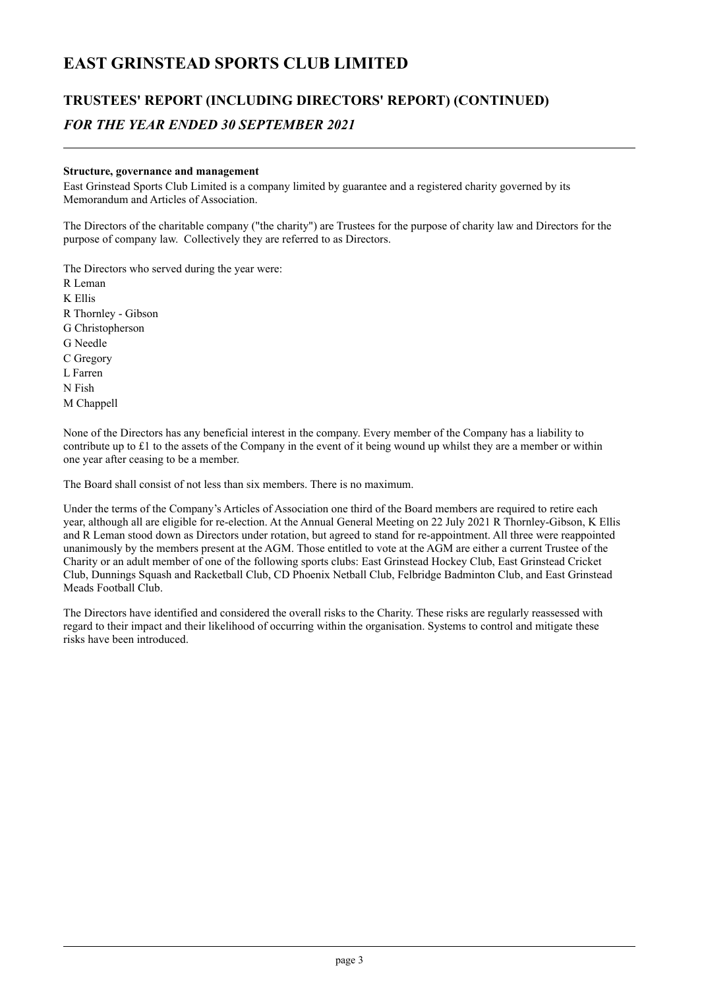## **TRUSTEES' REPORT (INCLUDING DIRECTORS' REPORT) (CONTINUED)** *FOR THE YEAR ENDED 30 SEPTEMBER 2021*

#### **Structure, governance and management**

East Grinstead Sports Club Limited is a company limited by guarantee and a registered charity governed by its Memorandum and Articles of Association.

The Directors of the charitable company ("the charity") are Trustees for the purpose of charity law and Directors for the purpose of company law. Collectively they are referred to as Directors.

The Directors who served during the year were:

R Leman K Ellis R Thornley - Gibson G Christopherson G Needle C Gregory L Farren N Fish M Chappell

None of the Directors has any beneficial interest in the company. Every member of the Company has a liability to contribute up to  $£1$  to the assets of the Company in the event of it being wound up whilst they are a member or within one year after ceasing to be a member.

The Board shall consist of not less than six members. There is no maximum.

Under the terms of the Company's Articles of Association one third of the Board members are required to retire each year, although all are eligible for re-election. At the Annual General Meeting on 22 July 2021 R Thornley-Gibson, K Ellis and R Leman stood down as Directors under rotation, but agreed to stand for re-appointment. All three were reappointed unanimously by the members present at the AGM. Those entitled to vote at the AGM are either a current Trustee of the Charity or an adult member of one of the following sports clubs: East Grinstead Hockey Club, East Grinstead Cricket Club, Dunnings Squash and Racketball Club, CD Phoenix Netball Club, Felbridge Badminton Club, and East Grinstead Meads Football Club.

The Directors have identified and considered the overall risks to the Charity. These risks are regularly reassessed with regard to their impact and their likelihood of occurring within the organisation. Systems to control and mitigate these risks have been introduced.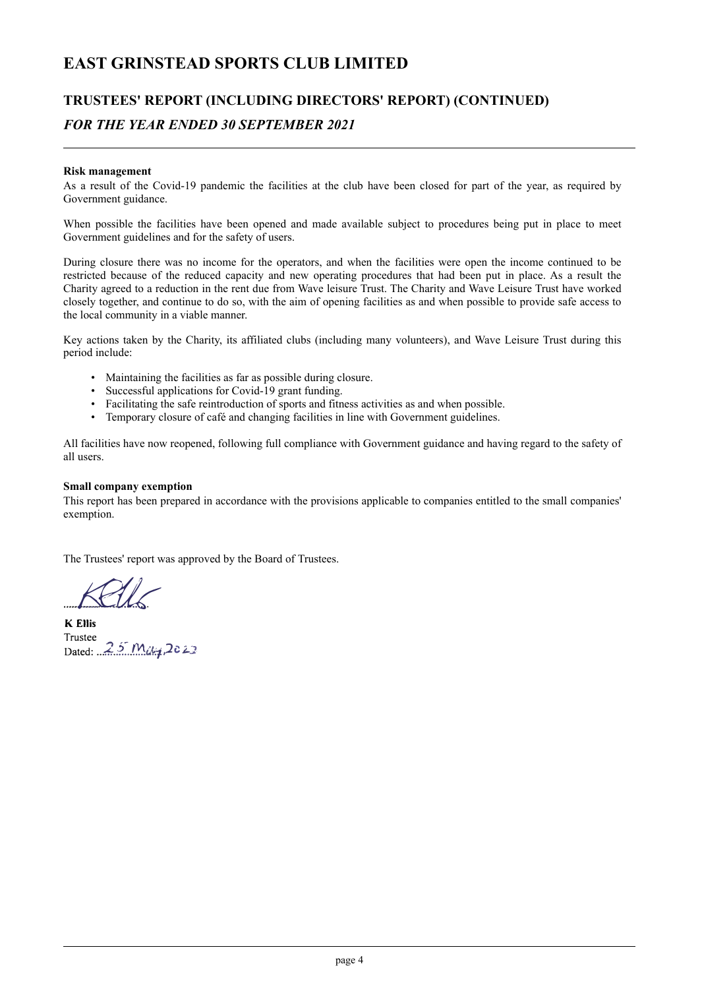## **TRUSTEES' REPORT (INCLUDING DIRECTORS' REPORT) (CONTINUED)** *FOR THE YEAR ENDED 30 SEPTEMBER 2021*

#### **Risk management**

As a result of the Covid-19 pandemic the facilities at the club have been closed for part of the year, as required by Government guidance.

When possible the facilities have been opened and made available subject to procedures being put in place to meet Government guidelines and for the safety of users.

During closure there was no income for the operators, and when the facilities were open the income continued to be restricted because of the reduced capacity and new operating procedures that had been put in place. As a result the Charity agreed to a reduction in the rent due from Wave leisure Trust. The Charity and Wave Leisure Trust have worked closely together, and continue to do so, with the aim of opening facilities as and when possible to provide safe access to the local community in a viable manner.

Key actions taken by the Charity, its affiliated clubs (including many volunteers), and Wave Leisure Trust during this period include:

- Maintaining the facilities as far as possible during closure.
- Successful applications for Covid-19 grant funding.
- Facilitating the safe reintroduction of sports and fitness activities as and when possible.
- Temporary closure of café and changing facilities in line with Government guidelines.

All facilities have now reopened, following full compliance with Government guidance and having regard to the safety of all users.

#### **Small company exemption**

This report has been prepared in accordance with the provisions applicable to companies entitled to the small companies' exemption.

The Trustees' report was approved by the Board of Trustees.

.............................. *..... I.Bk*

Trustee **K Ellis** Dated: 25 May 2022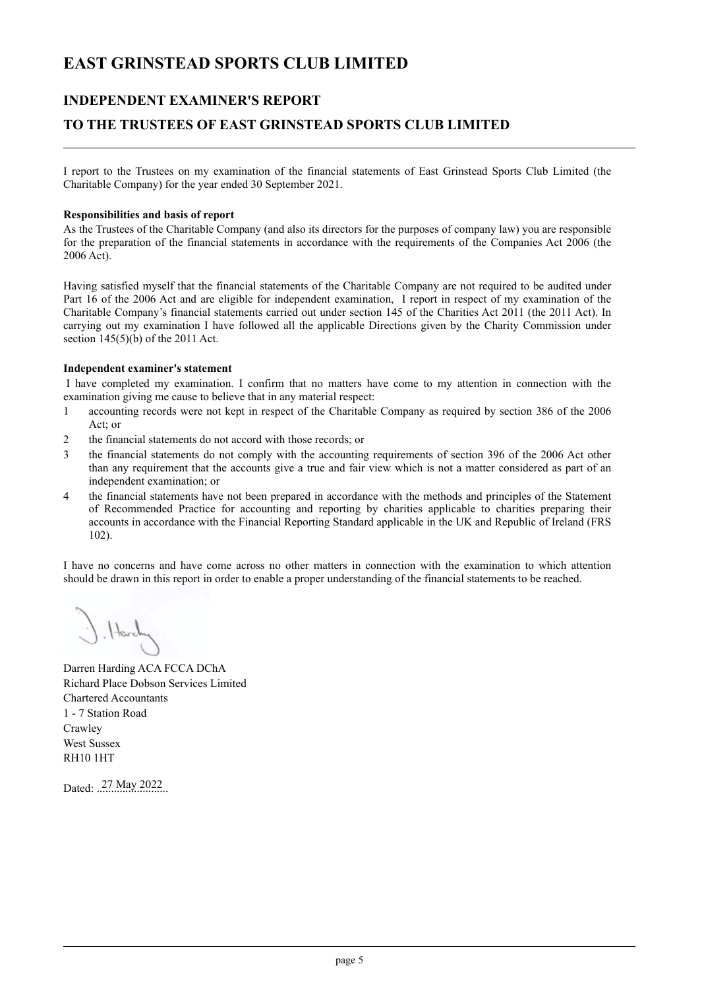### **INDEPENDENT EXAMINER'S REPORT**

### **TO THE TRUSTEES OF EAST GRINSTEAD SPORTS CLUB LIMITED**

I report to the Trustees on my examination of the financial statements of East Grinstead Sports Club Limited (the Charitable Company) for the year ended 30 September 2021.

#### **Responsibilities and basis of report**

As the Trustees of the Charitable Company (and also its directors for the purposes of company law) you are responsible for the preparation of the financial statements in accordance with the requirements of the Companies Act 2006 (the 2006 Act).

Having satisfied myself that the financial statements of the Charitable Company are not required to be audited under Part 16 of the 2006 Act and are eligible for independent examination, I report in respect of my examination of the Charitable Company's financial statements carried out under section 145 of the Charities Act 2011 (the 2011 Act). In carrying out my examination I have followed all the applicable Directions given by the Charity Commission under section 145(5)(b) of the 2011 Act.

#### **Independent examiner's statement**

I have completed my examination. I confirm that no matters have come to my attention in connection with the examination giving me cause to believe that in any material respect:

- 1 accounting records were not kept in respect of the Charitable Company as required by section 386 of the 2006 Act; or
- 2 the financial statements do not accord with those records; or
- 3 the financial statements do not comply with the accounting requirements of section 396 of the 2006 Act other than any requirement that the accounts give a true and fair view which is not a matter considered as part of an independent examination; or
- 4 the financial statements have not been prepared in accordance with the methods and principles of the Statement of Recommended Practice for accounting and reporting by charities applicable to charities preparing their accounts in accordance with the Financial Reporting Standard applicable in the UK and Republic of Ireland (FRS 102).

I have no concerns and have come across no other matters in connection with the examination to which attention should be drawn in this report in order to enable a proper understanding of the financial statements to be reached.

 $Herl.$ 

Darren Harding ACA FCCA DChA Richard Place Dobson Services Limited Chartered Accountants 1 - 7 Station Road **Crawley** West Sussex RH10 1HT

Dated: 27 May 2022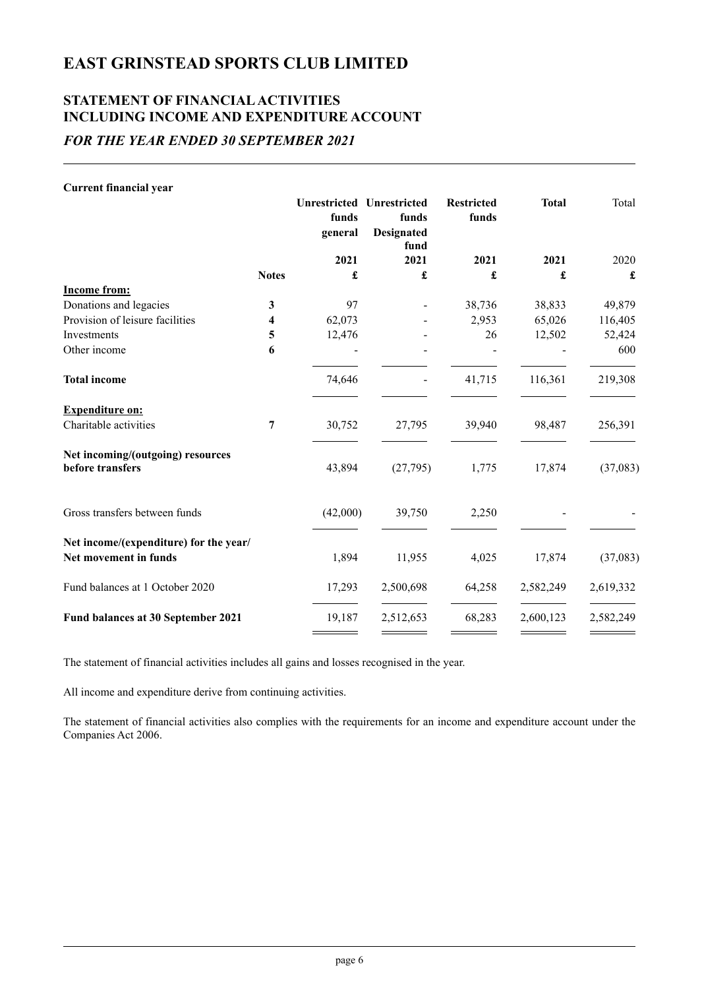### **STATEMENT OF FINANCIALACTIVITIES INCLUDING INCOME AND EXPENDITURE ACCOUNT** *FOR THE YEAR ENDED 30 SEPTEMBER 2021*

| Total     |
|-----------|
|           |
| 2020      |
| £         |
|           |
| 49,879    |
| 116,405   |
| 52,424    |
| 600       |
| 219,308   |
|           |
| 256,391   |
| (37,083)  |
|           |
|           |
| (37,083)  |
| 2,619,332 |
| 2,582,249 |
|           |

The statement of financial activities includes all gains and losses recognised in the year.

All income and expenditure derive from continuing activities.

The statement of financial activities also complies with the requirements for an income and expenditure account under the Companies Act 2006.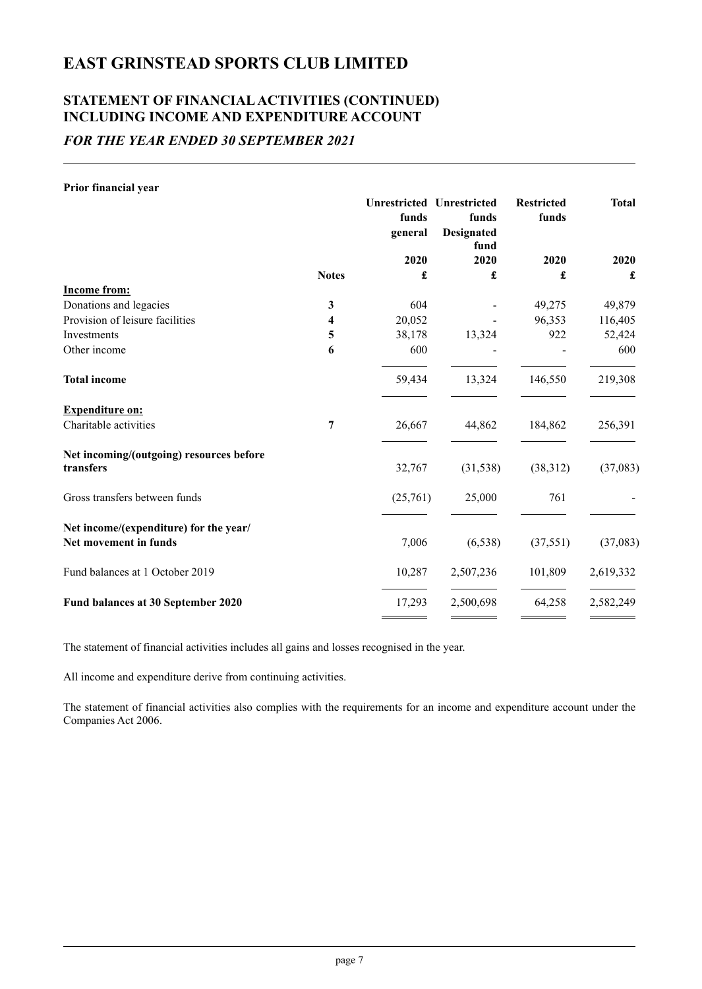## **STATEMENT OF FINANCIALACTIVITIES (CONTINUED) INCLUDING INCOME AND EXPENDITURE ACCOUNT**

## *FOR THE YEAR ENDED 30 SEPTEMBER 2021*

#### **Prior financial year**

|              | funds<br>general | funds<br><b>Designated</b> | <b>Restricted</b><br>funds                                                | <b>Total</b>     |
|--------------|------------------|----------------------------|---------------------------------------------------------------------------|------------------|
|              |                  |                            |                                                                           | 2020             |
| <b>Notes</b> | £                | £                          | £                                                                         | £                |
|              |                  |                            |                                                                           |                  |
| $\mathbf{3}$ | 604              |                            | 49,275                                                                    | 49,879           |
| 4            | 20,052           |                            | 96,353                                                                    | 116,405          |
| 5            | 38,178           | 13,324                     | 922                                                                       | 52,424           |
| 6            | 600              |                            |                                                                           | 600              |
|              | 59,434           | 13,324                     | 146,550                                                                   | 219,308          |
|              |                  |                            |                                                                           |                  |
| 7            | 26,667           | 44,862                     | 184,862                                                                   | 256,391          |
|              |                  |                            |                                                                           |                  |
|              |                  |                            |                                                                           | (37,083)         |
|              |                  | 25,000                     | 761                                                                       |                  |
|              |                  |                            |                                                                           |                  |
|              | 7,006            | (6, 538)                   | (37, 551)                                                                 | (37,083)         |
|              | 10,287           | 2,507,236                  | 101,809                                                                   | 2,619,332        |
|              | 17,293           | 2,500,698                  | 64,258                                                                    | 2,582,249        |
|              |                  | 2020<br>32,767             | <b>Unrestricted Unrestricted</b><br>fund<br>2020<br>(31, 538)<br>(25,761) | 2020<br>(38,312) |

The statement of financial activities includes all gains and losses recognised in the year.

All income and expenditure derive from continuing activities.

The statement of financial activities also complies with the requirements for an income and expenditure account under the Companies Act 2006.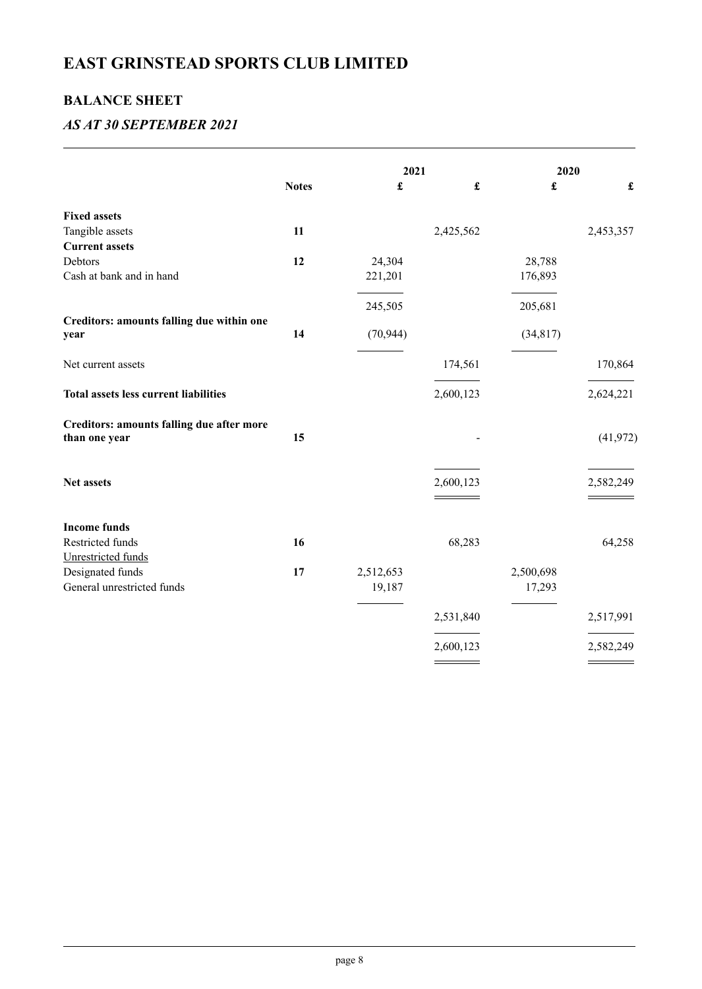### **BALANCE SHEET**

### *AS AT 30 SEPTEMBER 2021*

|                                                                   |              | 2021      |                      | 2020                 |                      |
|-------------------------------------------------------------------|--------------|-----------|----------------------|----------------------|----------------------|
|                                                                   | <b>Notes</b> | £         | $\pmb{\mathfrak{L}}$ | $\pmb{\mathfrak{L}}$ | $\pmb{\mathfrak{L}}$ |
| <b>Fixed assets</b>                                               |              |           |                      |                      |                      |
| Tangible assets                                                   | 11           |           | 2,425,562            |                      | 2,453,357            |
| <b>Current assets</b>                                             |              |           |                      |                      |                      |
| Debtors                                                           | 12           | 24,304    |                      | 28,788               |                      |
| Cash at bank and in hand                                          |              | 221,201   |                      | 176,893              |                      |
|                                                                   |              | 245,505   |                      | 205,681              |                      |
| Creditors: amounts falling due within one                         |              |           |                      |                      |                      |
| year                                                              | 14           | (70, 944) |                      | (34, 817)            |                      |
| Net current assets                                                |              |           | 174,561              |                      | 170,864              |
| <b>Total assets less current liabilities</b>                      |              |           | 2,600,123            |                      | 2,624,221            |
| <b>Creditors: amounts falling due after more</b><br>than one year | 15           |           |                      |                      | (41, 972)            |
| Net assets                                                        |              |           | 2,600,123            |                      | 2,582,249            |
| <b>Income funds</b>                                               |              |           |                      |                      |                      |
| Restricted funds                                                  | 16           |           | 68,283               |                      | 64,258               |
| Unrestricted funds                                                |              |           |                      |                      |                      |
| Designated funds                                                  | 17           | 2,512,653 |                      | 2,500,698            |                      |
| General unrestricted funds                                        |              | 19,187    |                      | 17,293               |                      |
|                                                                   |              |           | 2,531,840            |                      | 2,517,991            |
|                                                                   |              |           | 2,600,123            |                      | 2,582,249            |
|                                                                   |              |           |                      |                      |                      |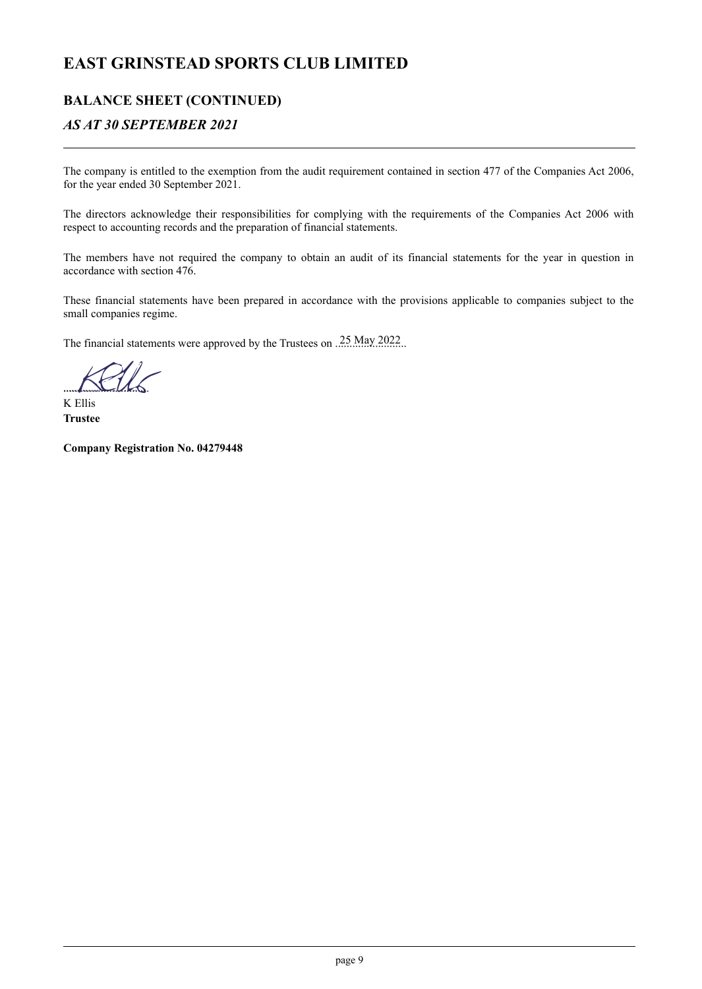### **BALANCE SHEET (CONTINUED)**

### *AS AT 30 SEPTEMBER 2021*

The company is entitled to the exemption from the audit requirement contained in section 477 of the Companies Act 2006, for the year ended 30 September 2021.

The directors acknowledge their responsibilities for complying with the requirements of the Companies Act 2006 with respect to accounting records and the preparation of financial statements.

The members have not required the company to obtain an audit of its financial statements for the year in question in accordance with section 476.

These financial statements have been prepared in accordance with the provisions applicable to companies subject to the small companies regime.

The financial statements were approved by the Trustees on  $\frac{.25 \text{ May } 2022}{.}$ 

 $1.11.1.6$ *..... I.Bk*

K Ellis **Trustee**

**Company Registration No. 04279448**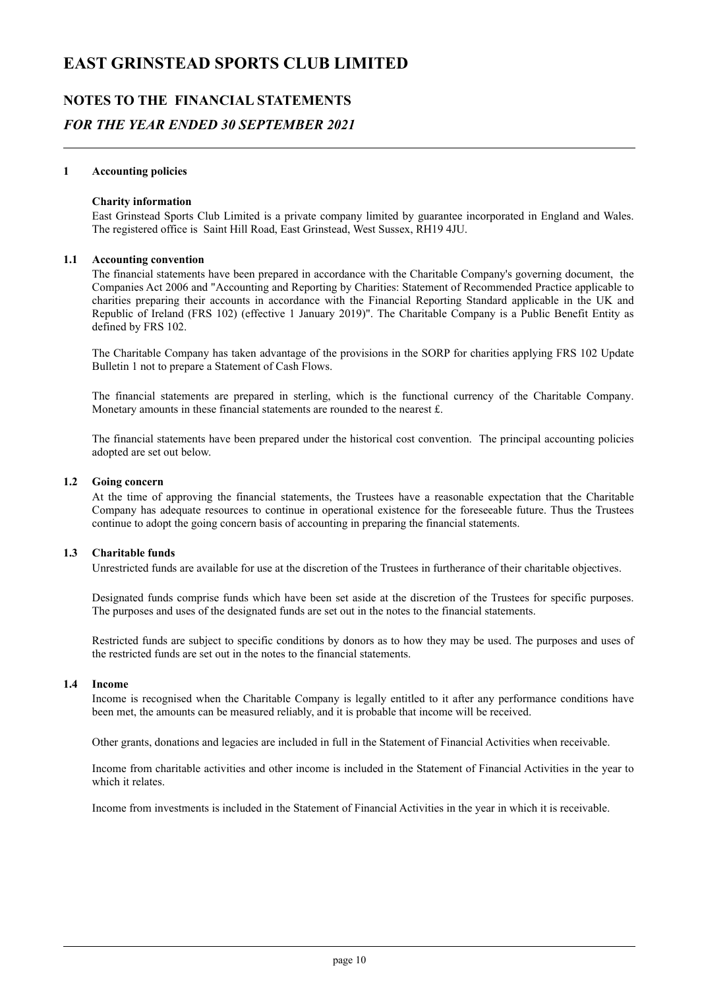### **NOTES TO THE FINANCIAL STATEMENTS** *FOR THE YEAR ENDED 30 SEPTEMBER 2021*

#### **1 Accounting policies**

#### **Charity information**

East Grinstead Sports Club Limited is a private company limited by guarantee incorporated in England and Wales. The registered office is Saint Hill Road, East Grinstead, West Sussex, RH19 4JU.

#### **1.1 Accounting convention**

The financial statements have been prepared in accordance with the Charitable Company's governing document, the Companies Act 2006 and "Accounting and Reporting by Charities: Statement of Recommended Practice applicable to charities preparing their accounts in accordance with the Financial Reporting Standard applicable in the UK and Republic of Ireland (FRS 102) (effective 1 January 2019)". The Charitable Company is a Public Benefit Entity as defined by FRS 102.

The Charitable Company has taken advantage of the provisions in the SORP for charities applying FRS 102 Update Bulletin 1 not to prepare a Statement of Cash Flows.

The financial statements are prepared in sterling, which is the functional currency of the Charitable Company. Monetary amounts in these financial statements are rounded to the nearest £.

The financial statements have been prepared under the historical cost convention. The principal accounting policies adopted are set out below.

#### **1.2 Going concern**

At the time of approving the financial statements, the Trustees have a reasonable expectation that the Charitable Company has adequate resources to continue in operational existence for the foreseeable future. Thus the Trustees continue to adopt the going concern basis of accounting in preparing the financial statements.

#### **1.3 Charitable funds**

Unrestricted funds are available for use at the discretion of the Trustees in furtherance of their charitable objectives.

Designated funds comprise funds which have been set aside at the discretion of the Trustees for specific purposes. The purposes and uses of the designated funds are set out in the notes to the financial statements.

Restricted funds are subject to specific conditions by donors as to how they may be used. The purposes and uses of the restricted funds are set out in the notes to the financial statements.

#### **1.4 Income**

Income is recognised when the Charitable Company is legally entitled to it after any performance conditions have been met, the amounts can be measured reliably, and it is probable that income will be received.

Other grants, donations and legacies are included in full in the Statement of Financial Activities when receivable.

Income from charitable activities and other income is included in the Statement of Financial Activities in the year to which it relates.

Income from investments is included in the Statement of Financial Activities in the year in which it is receivable.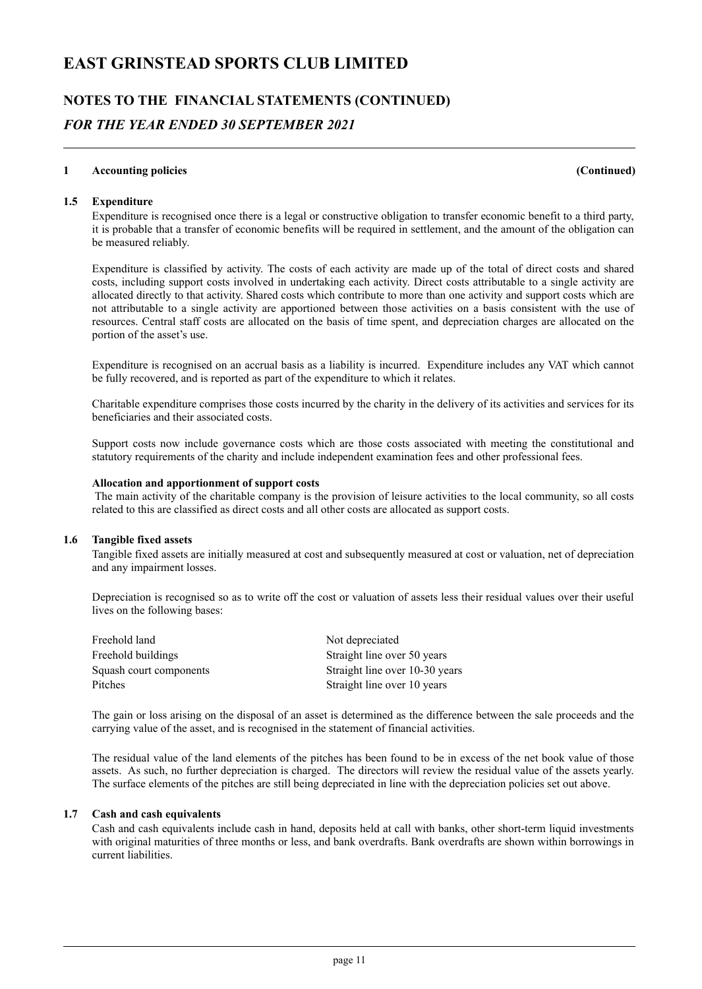## **NOTES TO THE FINANCIAL STATEMENTS (CONTINUED)** *FOR THE YEAR ENDED 30 SEPTEMBER 2021*

#### **1 Accounting policies (Continued)**

#### **1.5 Expenditure**

Expenditure is recognised once there is a legal or constructive obligation to transfer economic benefit to a third party, it is probable that a transfer of economic benefits will be required in settlement, and the amount of the obligation can be measured reliably.

Expenditure is classified by activity. The costs of each activity are made up of the total of direct costs and shared costs, including support costs involved in undertaking each activity. Direct costs attributable to a single activity are allocated directly to that activity. Shared costs which contribute to more than one activity and support costs which are not attributable to a single activity are apportioned between those activities on a basis consistent with the use of resources. Central staff costs are allocated on the basis of time spent, and depreciation charges are allocated on the portion of the asset's use.

Expenditure is recognised on an accrual basis as a liability is incurred. Expenditure includes any VAT which cannot be fully recovered, and is reported as part of the expenditure to which it relates.

Charitable expenditure comprises those costs incurred by the charity in the delivery of its activities and services for its beneficiaries and their associated costs.

Support costs now include governance costs which are those costs associated with meeting the constitutional and statutory requirements of the charity and include independent examination fees and other professional fees.

#### **Allocation and apportionment of support costs**

The main activity of the charitable company is the provision of leisure activities to the local community, so all costs related to this are classified as direct costs and all other costs are allocated as support costs.

#### **1.6 Tangible fixed assets**

Tangible fixed assets are initially measured at cost and subsequently measured at cost or valuation, net of depreciation and any impairment losses.

Depreciation is recognised so as to write off the cost or valuation of assets less their residual values over their useful lives on the following bases:

| Freehold land           | Not depreciated                |
|-------------------------|--------------------------------|
| Freehold buildings      | Straight line over 50 years    |
| Squash court components | Straight line over 10-30 years |
| Pitches                 | Straight line over 10 years    |

The gain or loss arising on the disposal of an asset is determined as the difference between the sale proceeds and the carrying value of the asset, and is recognised in the statement of financial activities.

The residual value of the land elements of the pitches has been found to be in excess of the net book value of those assets. As such, no further depreciation is charged. The directors will review the residual value of the assets yearly. The surface elements of the pitches are still being depreciated in line with the depreciation policies set out above.

#### **1.7 Cash and cash equivalents**

Cash and cash equivalents include cash in hand, deposits held at call with banks, other short-term liquid investments with original maturities of three months or less, and bank overdrafts. Bank overdrafts are shown within borrowings in current liabilities.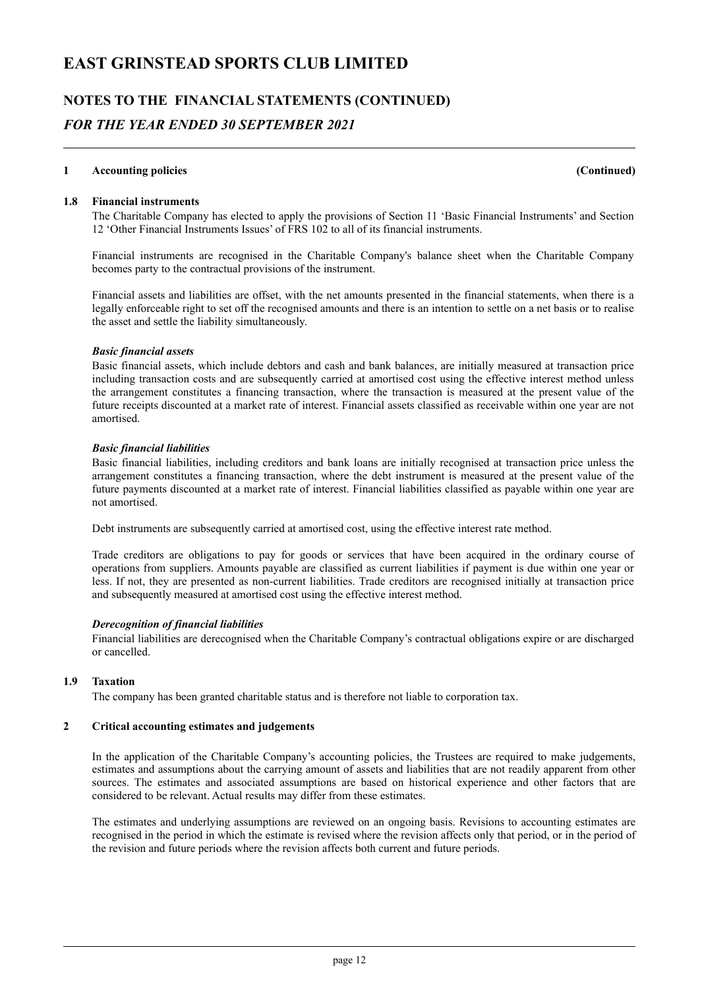## **NOTES TO THE FINANCIAL STATEMENTS (CONTINUED)** *FOR THE YEAR ENDED 30 SEPTEMBER 2021*

#### **1 Accounting policies (Continued)**

#### **1.8 Financial instruments**

The Charitable Company has elected to apply the provisions of Section 11 'Basic Financial Instruments' and Section 12 'Other Financial Instruments Issues' of FRS 102 to all of its financial instruments.

Financial instruments are recognised in the Charitable Company's balance sheet when the Charitable Company becomes party to the contractual provisions of the instrument.

Financial assets and liabilities are offset, with the net amounts presented in the financial statements, when there is a legally enforceable right to set off the recognised amounts and there is an intention to settle on a net basis or to realise the asset and settle the liability simultaneously.

#### *Basic financial assets*

Basic financial assets, which include debtors and cash and bank balances, are initially measured at transaction price including transaction costs and are subsequently carried at amortised cost using the effective interest method unless the arrangement constitutes a financing transaction, where the transaction is measured at the present value of the future receipts discounted at a market rate of interest. Financial assets classified as receivable within one year are not amortised.

#### *Basic financial liabilities*

Basic financial liabilities, including creditors and bank loans are initially recognised at transaction price unless the arrangement constitutes a financing transaction, where the debt instrument is measured at the present value of the future payments discounted at a market rate of interest. Financial liabilities classified as payable within one year are not amortised.

Debt instruments are subsequently carried at amortised cost, using the effective interest rate method.

Trade creditors are obligations to pay for goods or services that have been acquired in the ordinary course of operations from suppliers. Amounts payable are classified as current liabilities if payment is due within one year or less. If not, they are presented as non-current liabilities. Trade creditors are recognised initially at transaction price and subsequently measured at amortised cost using the effective interest method.

#### *Derecognition of financial liabilities*

Financial liabilities are derecognised when the Charitable Company's contractual obligations expire or are discharged or cancelled.

#### **1.9 Taxation**

The company has been granted charitable status and is therefore not liable to corporation tax.

#### **2 Critical accounting estimates and judgements**

In the application of the Charitable Company's accounting policies, the Trustees are required to make judgements, estimates and assumptions about the carrying amount of assets and liabilities that are not readily apparent from other sources. The estimates and associated assumptions are based on historical experience and other factors that are considered to be relevant. Actual results may differ from these estimates.

The estimates and underlying assumptions are reviewed on an ongoing basis. Revisions to accounting estimates are recognised in the period in which the estimate is revised where the revision affects only that period, or in the period of the revision and future periods where the revision affects both current and future periods.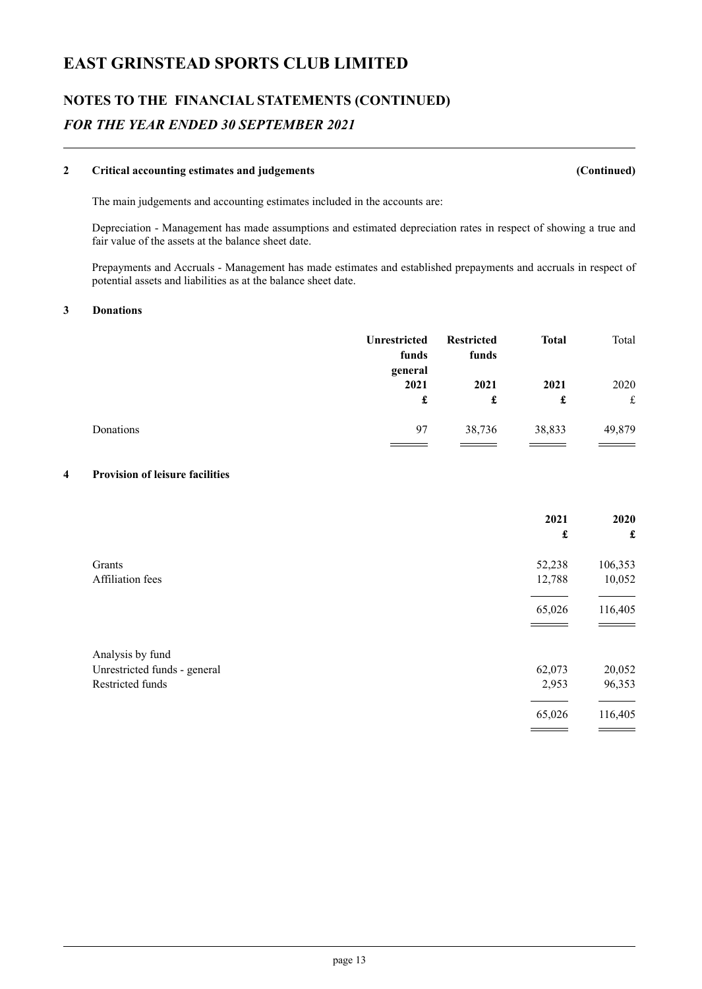## **NOTES TO THE FINANCIAL STATEMENTS (CONTINUED)** *FOR THE YEAR ENDED 30 SEPTEMBER 2021*

#### **2 Critical accounting estimates and judgements (Continued)**

The main judgements and accounting estimates included in the accounts are:

Depreciation - Management has made assumptions and estimated depreciation rates in respect of showing a true and fair value of the assets at the balance sheet date.

Prepayments and Accruals - Management has made estimates and established prepayments and accruals in respect of potential assets and liabilities as at the balance sheet date.

#### **3 Donations**

|           | <b>Unrestricted</b><br>funds<br>general | <b>Restricted</b><br>funds | <b>Total</b> | Total     |
|-----------|-----------------------------------------|----------------------------|--------------|-----------|
|           | 2021<br>£                               | 2021<br>£                  | 2021<br>£    | 2020<br>£ |
| Donations | 97                                      | 38,736                     | 38,833       | 49,879    |

#### **4 Provision of leisure facilities**

|                              | 2021<br>£ | 2020<br>£ |
|------------------------------|-----------|-----------|
|                              |           |           |
| Grants                       | 52,238    | 106,353   |
| Affiliation fees             | 12,788    | 10,052    |
|                              | 65,026    | 116,405   |
|                              |           |           |
| Analysis by fund             |           |           |
| Unrestricted funds - general | 62,073    | 20,052    |
| Restricted funds             | 2,953     | 96,353    |
|                              | 65,026    | 116,405   |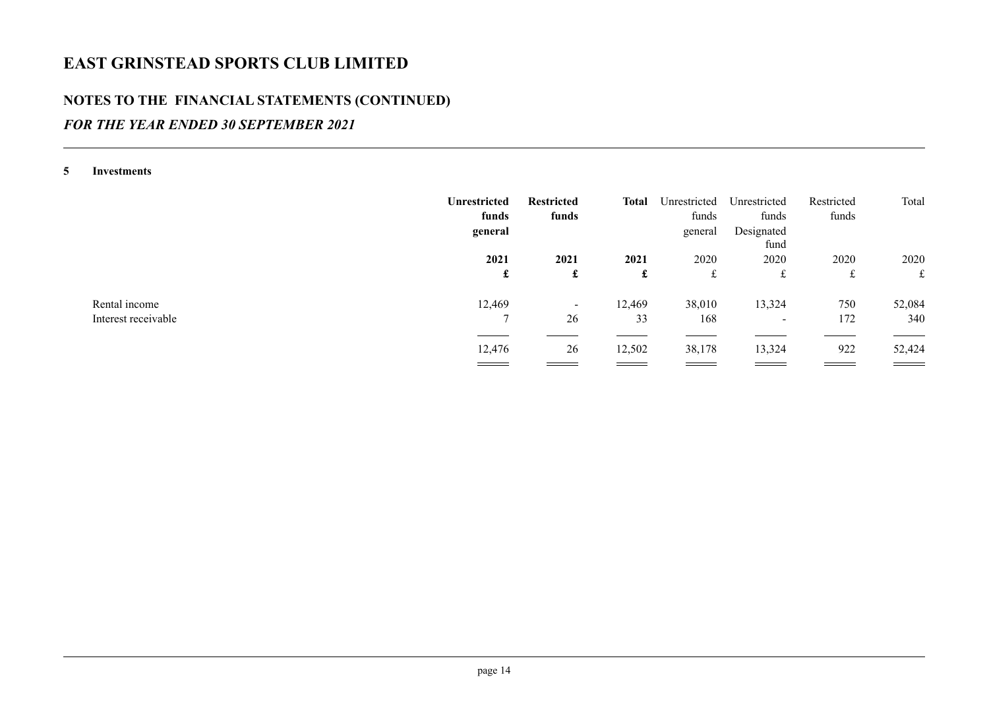### **NOTES TO THE FINANCIAL STATEMENTS (CONTINUED)**

### *FOR THE YEAR ENDED 30 SEPTEMBER 2021*

**5 Investments**

|                     | <b>Unrestricted</b><br>funds<br>general | <b>Restricted</b><br>funds | Total  | Unrestricted<br>funds<br>general | Unrestricted<br>funds<br>Designated<br>fund | Restricted<br>funds | Total  |
|---------------------|-----------------------------------------|----------------------------|--------|----------------------------------|---------------------------------------------|---------------------|--------|
|                     | 2021                                    | 2021                       | 2021   | 2020                             | 2020                                        | 2020                | 2020   |
|                     | £                                       | £                          | £      | £                                | £                                           | £                   | £      |
| Rental income       | 12,469                                  | $\sim$                     | 12,469 | 38,010                           | 13,324                                      | 750                 | 52,084 |
| Interest receivable | ⇁                                       | 26                         | 33     | 168                              | $\overline{\phantom{0}}$                    | 172                 | 340    |
|                     |                                         |                            |        |                                  |                                             |                     |        |
|                     | 12,476                                  | 26                         | 12,502 | 38,178                           | 13,324                                      | 922                 | 52,424 |
|                     | ==                                      |                            | ___    | $\equiv$ $\equiv$                | ____                                        |                     |        |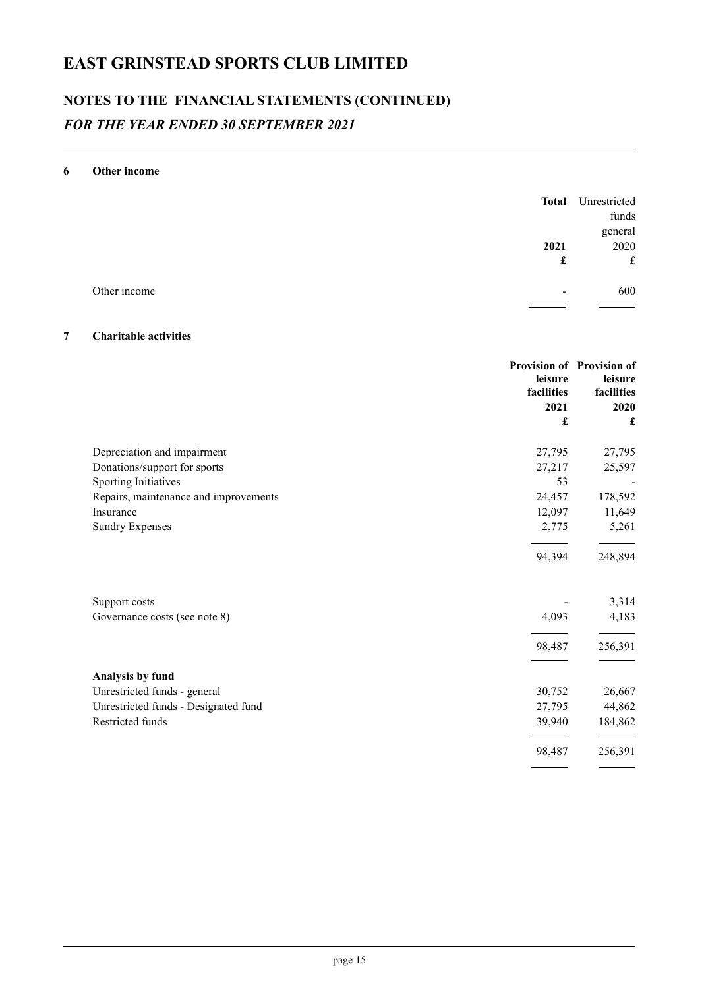## **NOTES TO THE FINANCIAL STATEMENTS (CONTINUED)** *FOR THE YEAR ENDED 30 SEPTEMBER 2021*

#### **6 Other income**

|              | <b>Total</b>             | Unrestricted     |
|--------------|--------------------------|------------------|
|              |                          | funds<br>general |
|              | 2021                     | 2020             |
|              | £                        | £                |
| Other income | $\overline{\phantom{0}}$ | 600              |
|              |                          |                  |

#### **7 Charitable activities**

|                                       | leisure<br>facilities<br>2021 | Provision of Provision of<br>leisure<br>facilities<br>2020 |
|---------------------------------------|-------------------------------|------------------------------------------------------------|
|                                       | £                             | £                                                          |
| Depreciation and impairment           | 27,795                        | 27,795                                                     |
| Donations/support for sports          | 27,217                        | 25,597                                                     |
| Sporting Initiatives                  | 53                            |                                                            |
| Repairs, maintenance and improvements | 24,457                        | 178,592                                                    |
| Insurance                             | 12,097                        | 11,649                                                     |
| <b>Sundry Expenses</b>                | 2,775                         | 5,261                                                      |
|                                       | 94,394                        | 248,894                                                    |
| Support costs                         |                               | 3,314                                                      |
| Governance costs (see note 8)         | 4,093                         | 4,183                                                      |
|                                       | 98,487                        | 256,391                                                    |
| Analysis by fund                      |                               |                                                            |
| Unrestricted funds - general          | 30,752                        | 26,667                                                     |
| Unrestricted funds - Designated fund  | 27,795                        | 44,862                                                     |
| Restricted funds                      | 39,940                        | 184,862                                                    |
|                                       | 98,487                        | 256,391                                                    |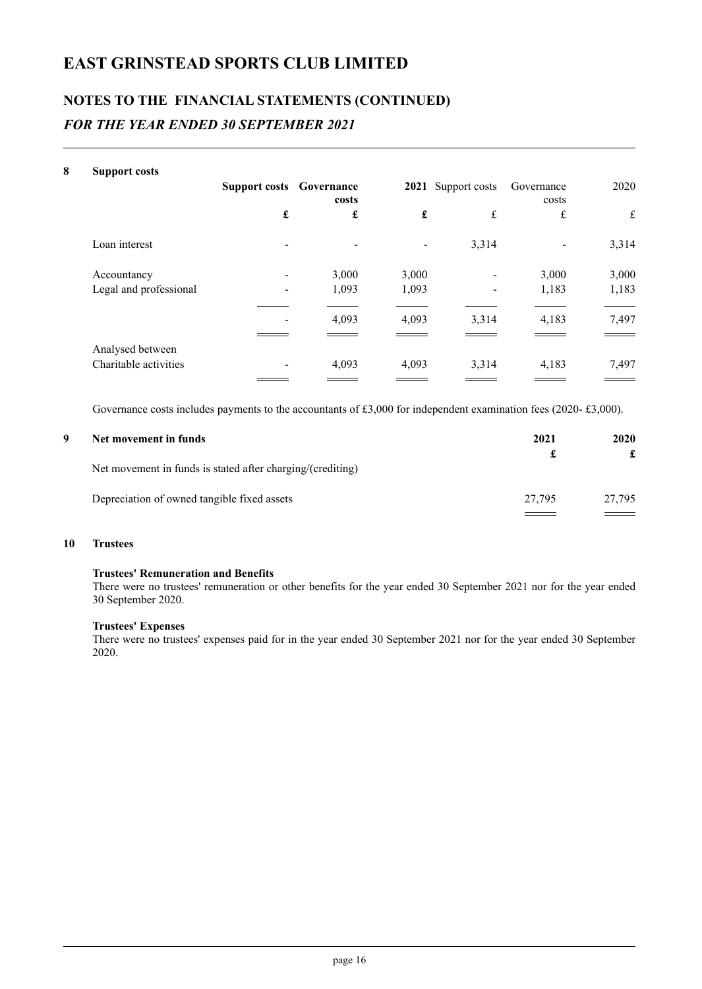## **NOTES TO THE FINANCIAL STATEMENTS (CONTINUED)** *FOR THE YEAR ENDED 30 SEPTEMBER 2021*

| 8 | <b>Support costs</b>   |                                 |       |                    |                    |                     |       |
|---|------------------------|---------------------------------|-------|--------------------|--------------------|---------------------|-------|
|   |                        | <b>Support costs Governance</b> | costs |                    | 2021 Support costs | Governance<br>costs | 2020  |
|   |                        | £                               | £     | $\pmb{\mathbf{f}}$ | £                  | £                   | £     |
|   | Loan interest          |                                 |       |                    | 3,314              |                     | 3,314 |
|   | Accountancy            |                                 | 3,000 | 3,000              | -                  | 3,000               | 3,000 |
|   | Legal and professional |                                 | 1,093 | 1,093              |                    | 1,183               | 1,183 |
|   |                        |                                 | 4,093 | 4,093              | 3,314              | 4,183               | 7,497 |
|   | Analysed between       |                                 |       |                    |                    |                     |       |
|   | Charitable activities  |                                 | 4,093 | 4,093              | 3,314              | 4,183               | 7,497 |
|   |                        |                                 |       |                    |                    |                     |       |

Governance costs includes payments to the accountants of £3,000 for independent examination fees (2020- £3,000).

| Net movement in funds                                      | 2021   | 2020   |
|------------------------------------------------------------|--------|--------|
| Net movement in funds is stated after charging/(crediting) |        |        |
| Depreciation of owned tangible fixed assets                | 27.795 | 27.795 |

#### **10 Trustees**

#### **Trustees' Remuneration and Benefits**

There were no trustees' remuneration or other benefits for the year ended 30 September 2021 nor for the year ended 30 September 2020.

#### **Trustees' Expenses**

There were no trustees' expenses paid for in the year ended 30 September 2021 nor for the year ended 30 September 2020.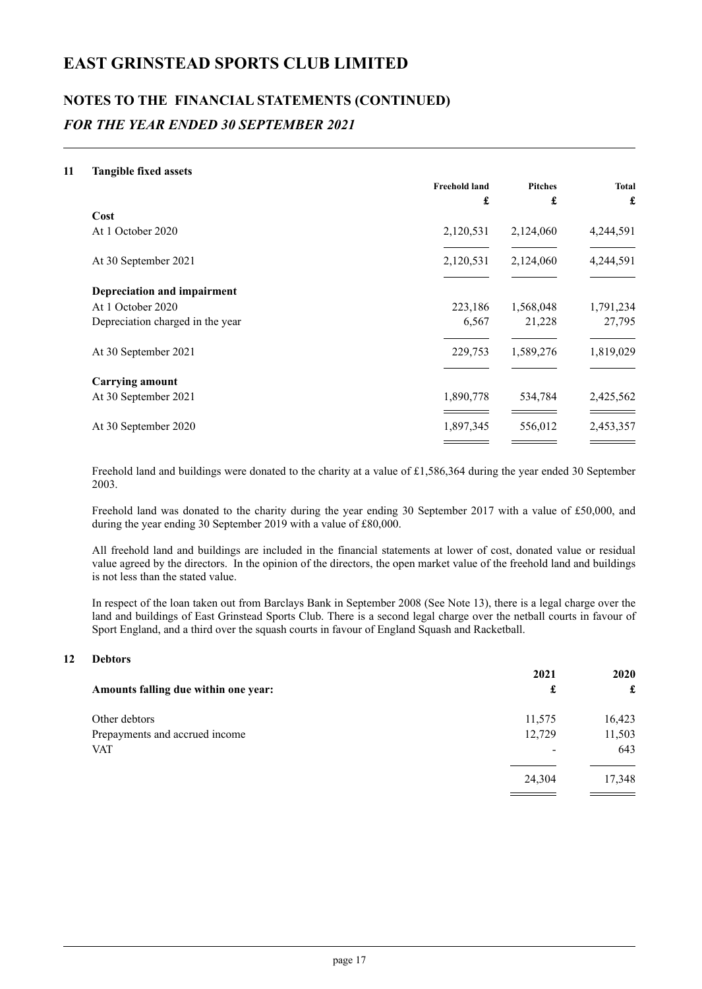## **NOTES TO THE FINANCIAL STATEMENTS (CONTINUED)** *FOR THE YEAR ENDED 30 SEPTEMBER 2021*

#### **11 Tangible fixed assets**

|                                    | <b>Freehold land</b> | <b>Pitches</b> | <b>Total</b> |
|------------------------------------|----------------------|----------------|--------------|
|                                    | £                    | £              | £            |
| Cost                               |                      |                |              |
| At 1 October 2020                  | 2,120,531            | 2,124,060      | 4,244,591    |
| At 30 September 2021               | 2,120,531            | 2,124,060      | 4,244,591    |
|                                    |                      |                |              |
| <b>Depreciation and impairment</b> |                      |                |              |
| At 1 October 2020                  | 223,186              | 1,568,048      | 1,791,234    |
| Depreciation charged in the year   | 6,567                | 21,228         | 27,795       |
|                                    |                      |                |              |
| At 30 September 2021               | 229,753              | 1,589,276      | 1,819,029    |
|                                    |                      |                |              |
| <b>Carrying amount</b>             |                      |                |              |
| At 30 September 2021               | 1,890,778            | 534,784        | 2,425,562    |
| At 30 September 2020               | 1,897,345            | 556,012        | 2,453,357    |
|                                    |                      |                |              |

Freehold land and buildings were donated to the charity at a value of £1,586,364 during the year ended 30 September 2003.

Freehold land was donated to the charity during the year ending 30 September 2017 with a value of £50,000, and during the year ending 30 September 2019 with a value of £80,000.

All freehold land and buildings are included in the financial statements at lower of cost, donated value or residual value agreed by the directors. In the opinion of the directors, the open market value of the freehold land and buildings is not less than the stated value.

In respect of the loan taken out from Barclays Bank in September 2008 (See Note 13), there is a legal charge over the land and buildings of East Grinstead Sports Club. There is a second legal charge over the netball courts in favour of Sport England, and a third over the squash courts in favour of England Squash and Racketball.

#### **12 Debtors**

|                                      | 2021   | <b>2020</b> |  |
|--------------------------------------|--------|-------------|--|
| Amounts falling due within one year: | £      | £           |  |
| Other debtors                        | 11,575 | 16,423      |  |
| Prepayments and accrued income       | 12,729 | 11,503      |  |
| <b>VAT</b>                           |        | 643         |  |
|                                      | 24,304 | 17,348      |  |
|                                      |        |             |  |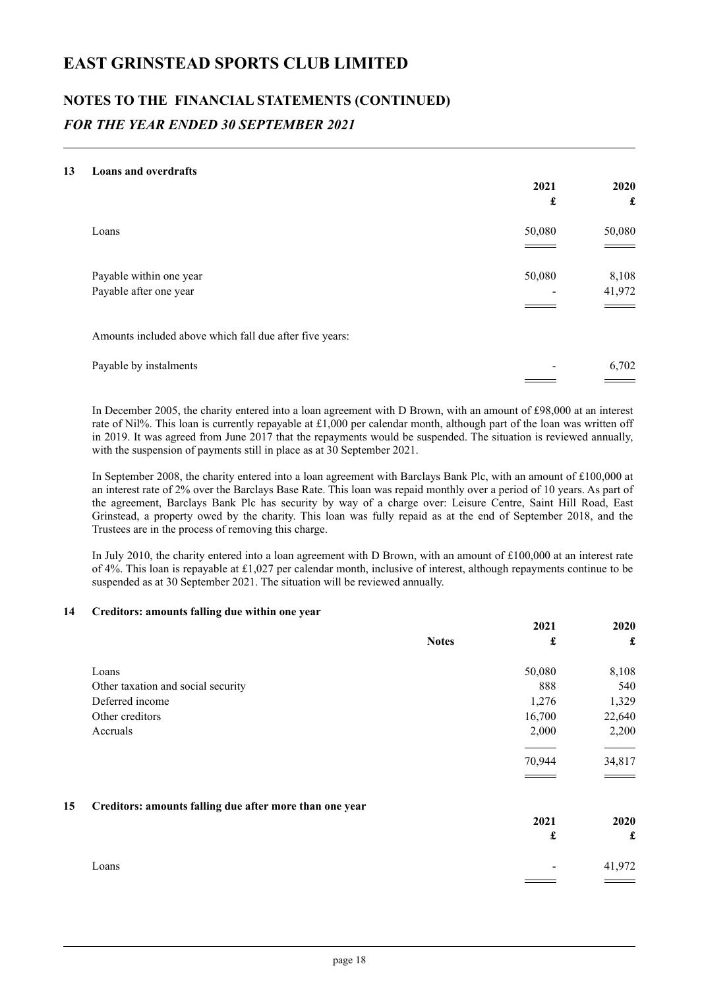## **NOTES TO THE FINANCIAL STATEMENTS (CONTINUED)** *FOR THE YEAR ENDED 30 SEPTEMBER 2021*

#### **13 Loans and overdrafts**

|                                                         | 2021   | 2020   |
|---------------------------------------------------------|--------|--------|
|                                                         | £      | £      |
| Loans                                                   | 50,080 | 50,080 |
|                                                         |        |        |
| Payable within one year                                 | 50,080 | 8,108  |
| Payable after one year                                  | -      | 41,972 |
|                                                         |        |        |
| Amounts included above which fall due after five years: |        |        |
| Payable by instalments                                  |        | 6,702  |
|                                                         |        |        |

In December 2005, the charity entered into a loan agreement with D Brown, with an amount of £98,000 at an interest rate of Nil%. This loan is currently repayable at £1,000 per calendar month, although part of the loan was written off in 2019. It was agreed from June 2017 that the repayments would be suspended. The situation is reviewed annually, with the suspension of payments still in place as at 30 September 2021.

In September 2008, the charity entered into a loan agreement with Barclays Bank Plc, with an amount of £100,000 at an interest rate of 2% over the Barclays Base Rate. This loan was repaid monthly over a period of 10 years. As part of the agreement, Barclays Bank Plc has security by way of a charge over: Leisure Centre, Saint Hill Road, East Grinstead, a property owed by the charity. This loan was fully repaid as at the end of September 2018, and the Trustees are in the process of removing this charge.

In July 2010, the charity entered into a loan agreement with D Brown, with an amount of £100,000 at an interest rate of 4%. This loan is repayable at £1,027 per calendar month, inclusive of interest, although repayments continue to be suspended as at 30 September 2021. The situation will be reviewed annually.

#### **14 Creditors: amounts falling due within one year**

|    |                                                         |              | 2021   | 2020   |
|----|---------------------------------------------------------|--------------|--------|--------|
|    |                                                         | <b>Notes</b> | £      | £      |
|    | Loans                                                   |              | 50,080 | 8,108  |
|    | Other taxation and social security                      |              | 888    | 540    |
|    | Deferred income                                         |              | 1,276  | 1,329  |
|    | Other creditors                                         |              | 16,700 | 22,640 |
|    | Accruals                                                |              | 2,000  | 2,200  |
|    |                                                         |              |        |        |
|    |                                                         |              | 70,944 | 34,817 |
|    |                                                         |              |        |        |
| 15 | Creditors: amounts falling due after more than one year |              |        |        |
|    |                                                         |              | 2021   | 2020   |
|    |                                                         |              | £      | £      |
|    | Loans                                                   |              |        | 41,972 |
|    |                                                         |              |        |        |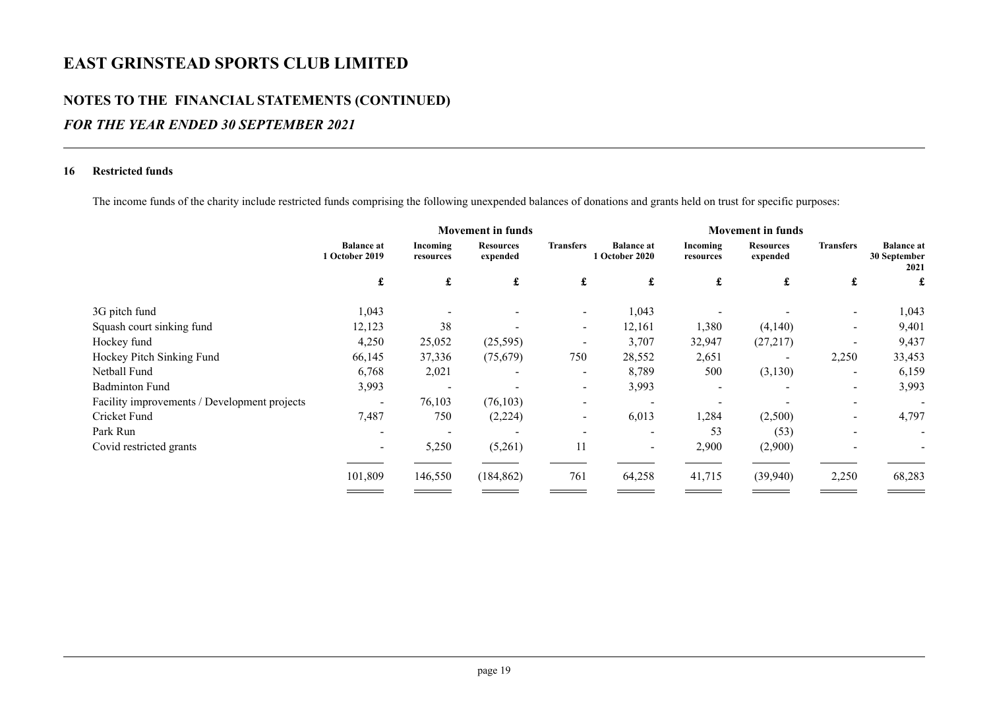### **NOTES TO THE FINANCIAL STATEMENTS (CONTINUED)**

### *FOR THE YEAR ENDED 30 SEPTEMBER 2021*

#### **16 Restricted funds**

The income funds of the charity include restricted funds comprising the following unexpended balances of donations and grants held on trust for specific purposes:

|                                              | <b>Movement in funds</b> |                              |                          | <b>Movement in funds</b>            |                       |                              |                          |                                           |
|----------------------------------------------|--------------------------|------------------------------|--------------------------|-------------------------------------|-----------------------|------------------------------|--------------------------|-------------------------------------------|
| <b>Balance at</b><br>1 October 2019          | Incoming<br>resources    | <b>Resources</b><br>expended | <b>Transfers</b>         | <b>Balance at</b><br>1 October 2020 | Incoming<br>resources | <b>Resources</b><br>expended | <b>Transfers</b>         | <b>Balance</b> at<br>30 September<br>2021 |
| £                                            | £                        | £                            | £                        | £                                   | £                     | £                            | £                        | £                                         |
| 1,043                                        |                          |                              |                          | 1,043                               |                       |                              |                          | 1,043                                     |
| 12,123                                       | 38                       |                              | $\overline{\phantom{a}}$ | 12,161                              | 1,380                 | (4,140)                      |                          | 9,401                                     |
| 4,250                                        | 25,052                   | (25,595)                     |                          | 3,707                               | 32,947                | (27, 217)                    |                          | 9,437                                     |
| 66,145                                       | 37,336                   | (75,679)                     | 750                      | 28,552                              | 2,651                 | $\sim$                       | 2,250                    | 33,453                                    |
| 6,768                                        | 2,021                    |                              | $\overline{\phantom{a}}$ | 8,789                               | 500                   | (3,130)                      | $\overline{\phantom{a}}$ | 6,159                                     |
| 3,993                                        |                          |                              | $\overline{\phantom{a}}$ | 3,993                               |                       |                              | $\overline{\phantom{a}}$ | 3,993                                     |
| Facility improvements / Development projects | 76,103                   | (76, 103)                    |                          |                                     |                       |                              |                          |                                           |
| 7,487                                        | 750                      |                              |                          | 6,013                               | 1,284                 | (2,500)                      |                          | 4,797                                     |
|                                              |                          |                              |                          |                                     | 53                    |                              |                          |                                           |
|                                              | 5,250                    | (5,261)                      | 11                       | $\overline{\phantom{a}}$            | 2,900                 | (2,900)                      |                          |                                           |
| 101,809                                      | 146,550                  | (184, 862)                   | 761                      | 64,258                              | 41,715                | (39,940)                     | 2,250                    | 68,283                                    |
|                                              |                          |                              | (2,224)                  |                                     |                       |                              | (53)                     |                                           |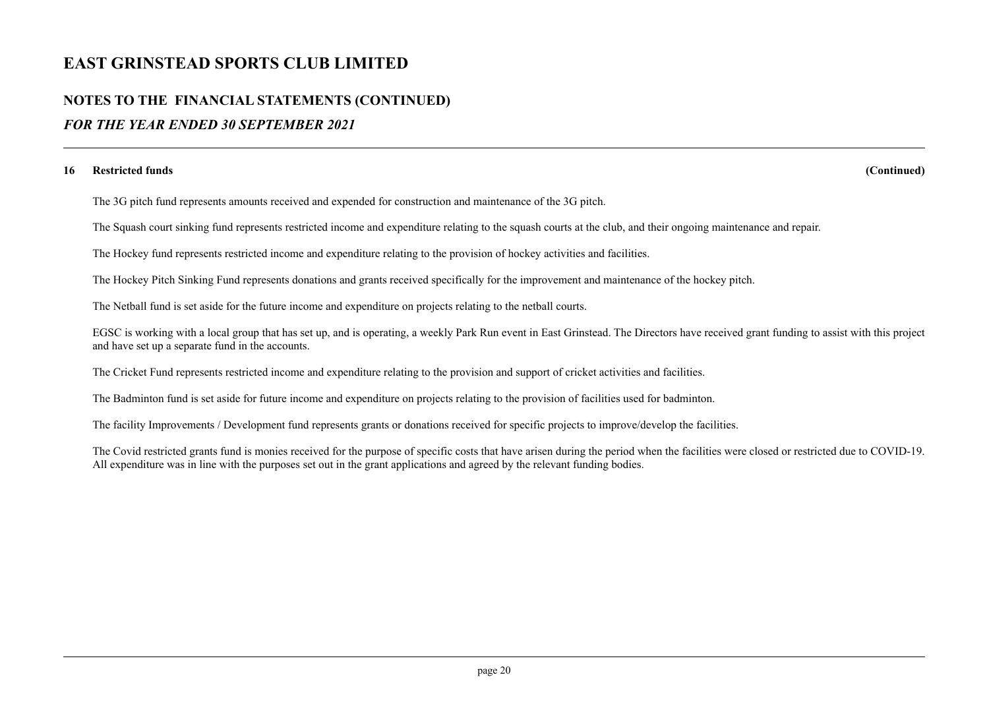### **NOTES TO THE FINANCIAL STATEMENTS (CONTINUED)**

### *FOR THE YEAR ENDED 30 SEPTEMBER 2021*

#### **16 Restricted funds (Continued)**

The 3G pitch fund represents amounts received and expended for construction and maintenance of the 3G pitch.

The Squash court sinking fund represents restricted income and expenditure relating to the squash courts at the club, and their ongoing maintenance and repair.

The Hockey fund represents restricted income and expenditure relating to the provision of hockey activities and facilities.

The Hockey Pitch Sinking Fund represents donations and grants received specifically for the improvement and maintenance of the hockey pitch.

The Netball fund is set aside for the future income and expenditure on projects relating to the netball courts.

EGSC is working with a local group that has set up, and is operating, a weekly Park Run event in East Grinstead. The Directors have received grant funding to assist with this project and have set up a separate fund in the accounts.

The Cricket Fund represents restricted income and expenditure relating to the provision and support of cricket activities and facilities.

The Badminton fund is set aside for future income and expenditure on projects relating to the provision of facilities used for badminton.

The facility Improvements / Development fund represents grants or donations received for specific projects to improve/develop the facilities.

The Covid restricted grants fund is monies received for the purpose of specific costs that have arisen during the period when the facilities were closed or restricted due to COVID-19. All expenditure was in line with the purposes set out in the grant applications and agreed by the relevant funding bodies.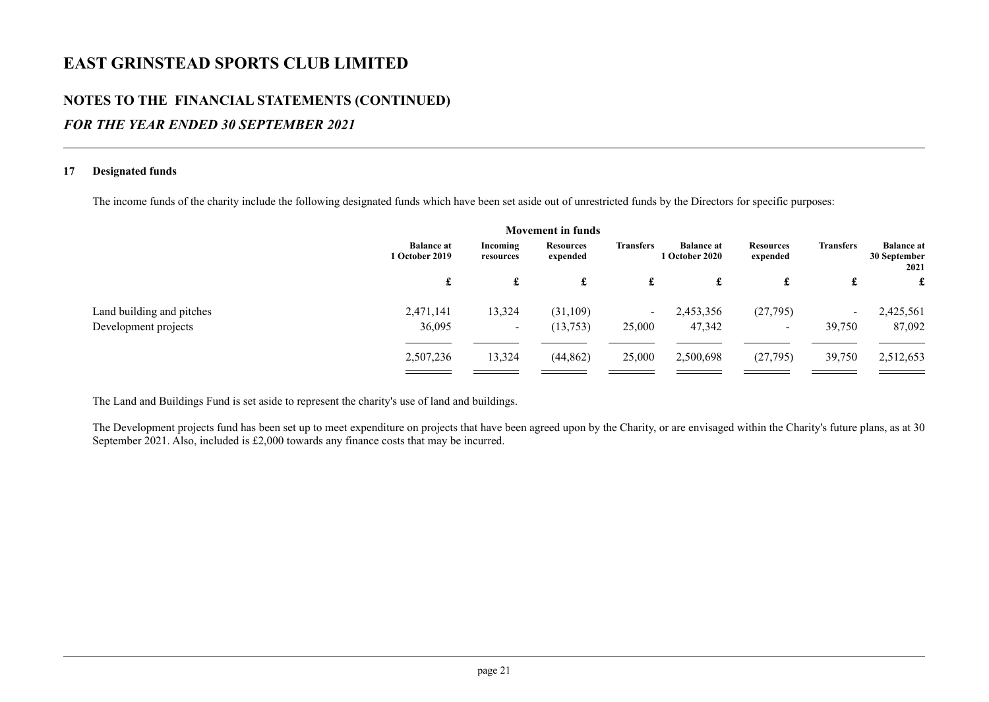### **NOTES TO THE FINANCIAL STATEMENTS (CONTINUED)**

### *FOR THE YEAR ENDED 30 SEPTEMBER 2021*

#### **17 Designated funds**

The income funds of the charity include the following designated funds which have been set aside out of unrestricted funds by the Directors for specific purposes:

|                           |                                            |                       | <b>Movement in funds</b>     |                  |                                     |                              |                  |                                           |
|---------------------------|--------------------------------------------|-----------------------|------------------------------|------------------|-------------------------------------|------------------------------|------------------|-------------------------------------------|
|                           | <b>Balance at</b><br><b>1 October 2019</b> | Incoming<br>resources | <b>Resources</b><br>expended | <b>Transfers</b> | <b>Balance at</b><br>1 October 2020 | <b>Resources</b><br>expended | <b>Transfers</b> | <b>Balance</b> at<br>30 September<br>2021 |
|                           | £                                          | £                     | £                            | £                | £                                   | £                            | £                | £                                         |
| Land building and pitches | 2,471,141                                  | 13,324                | (31,109)                     | $\sim$           | 2,453,356                           | (27,795)                     | $\blacksquare$   | 2,425,561                                 |
| Development projects      | 36,095                                     | $\sim$                | (13,753)                     | 25,000           | 47,342                              | $\sim$                       | 39,750           | 87,092                                    |
|                           | 2,507,236                                  | 13,324                | (44, 862)                    | 25,000           | 2,500,698                           | (27,795)                     | 39,750           | 2,512,653                                 |

The Land and Buildings Fund is set aside to represent the charity's use of land and buildings.

The Development projects fund has been set up to meet expenditure on projects that have been agreed upon by the Charity, or are envisaged within the Charity's future plans, as at 30 September 2021. Also, included is £2,000 towards any finance costs that may be incurred.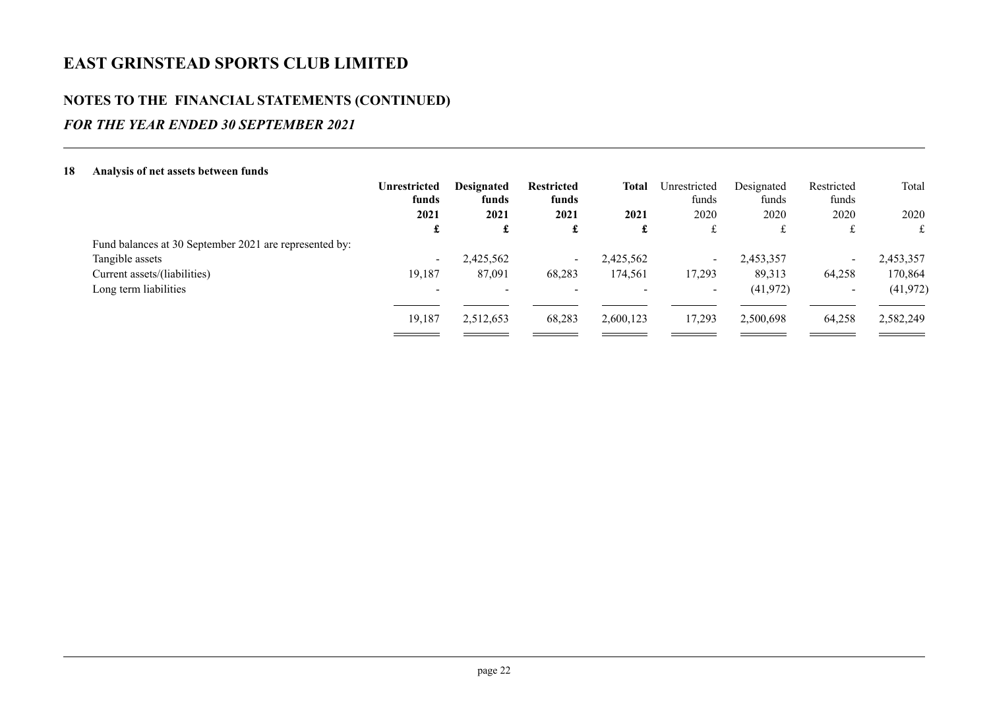### **NOTES TO THE FINANCIAL STATEMENTS (CONTINUED)**

### *FOR THE YEAR ENDED 30 SEPTEMBER 2021*

| 18 | Analysis of net assets between funds                   |                              |                            |                            |           |                       |                     |                     |           |
|----|--------------------------------------------------------|------------------------------|----------------------------|----------------------------|-----------|-----------------------|---------------------|---------------------|-----------|
|    |                                                        | <b>Unrestricted</b><br>funds | <b>Designated</b><br>funds | <b>Restricted</b><br>funds | Total     | Unrestricted<br>funds | Designated<br>funds | Restricted<br>funds | Total     |
|    |                                                        | 2021                         | 2021                       | 2021                       | 2021      | 2020                  | 2020                | 2020                | 2020      |
|    |                                                        | £                            | £                          | £                          | £         | £                     | £                   | t.                  | £         |
|    | Fund balances at 30 September 2021 are represented by: |                              |                            |                            |           |                       |                     |                     |           |
|    | Tangible assets                                        | $\sim$                       | 2,425,562                  | $\sim$                     | 2,425,562 | $\sim$                | 2,453,357           | $\sim$              | 2,453,357 |
|    | Current assets/(liabilities)                           | 19,187                       | 87,091                     | 68,283                     | 174,561   | 17,293                | 89,313              | 64,258              | 170,864   |
|    | Long term liabilities                                  | $\overline{\phantom{0}}$     |                            |                            |           | $\sim$                | (41, 972)           | $\sim$              | (41, 972) |
|    |                                                        | 19,187                       | 2,512,653                  | 68,283                     | 2,600,123 | 17,293                | 2,500,698           | 64,258              | 2,582,249 |
|    |                                                        |                              |                            |                            |           |                       |                     |                     |           |